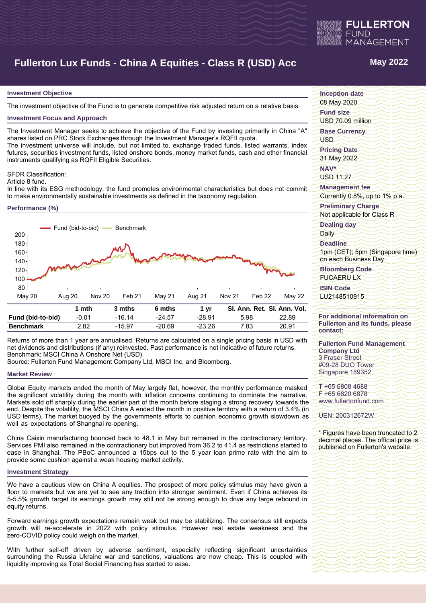

# **Fullerton Lux Funds - China A Equities - Class R (USD) Acc May 2022**

#### **Investment Objective**

The investment objective of the Fund is to generate competitive risk adjusted return on a relative basis.

#### **Investment Focus and Approach**

The Investment Manager seeks to achieve the objective of the Fund by investing primarily in China "A" shares listed on PRC Stock Exchanges through the Investment Manager's RQFII quota.

The investment universe will include, but not limited to, exchange traded funds, listed warrants, index futures, securities investment funds, listed onshore bonds, money market funds, cash and other financial instruments qualifying as RQFII Eligible Securities.

#### SFDR Classification:

Article 8 fund.

In line with its ESG methodology, the fund promotes environmental characteristics but does not commit to make environmentally sustainable investments as defined in the taxonomy regulation.

#### **Performance (%)**



Returns of more than 1 year are annualised. Returns are calculated on a single pricing basis in USD with net dividends and distributions (if any) reinvested. Past performance is not indicative of future returns. Benchmark: MSCI China A Onshore Net (USD)

Source: Fullerton Fund Management Company Ltd, MSCI Inc. and Bloomberg.

#### **Market Review**

Global Equity markets ended the month of May largely flat, however, the monthly performance masked the significant volatility during the month with inflation concerns continuing to dominate the narrative. Markets sold off sharply during the earlier part of the month before staging a strong recovery towards the end. Despite the volatility, the MSCI China A ended the month in positive territory with a return of 3.4% (in USD terms). The market buoyed by the governments efforts to cushion economic growth slowdown as well as expectations of Shanghai re-opening.

China Caixin manufacturing bounced back to 48.1 in May but remained in the contractionary territory. Services PMI also remained in the contractionary but improved from 36.2 to 41.4 as restrictions started to ease in Shanghai. The PBoC announced a 15bps cut to the 5 year loan prime rate with the aim to provide some cushion against a weak housing market activity.

#### **Investment Strategy**

We have a cautious view on China A equities. The prospect of more policy stimulus may have given a floor to markets but we are yet to see any traction into stronger sentiment. Even if China achieves its 5-5.5% growth target its earnings growth may still not be strong enough to drive any large rebound in equity returns.

Forward earnings growth expectations remain weak but may be stabilizing. The consensus still expects growth will re-accelerate in 2022 with policy stimulus. However real estate weakness and the zero-COVID policy could weigh on the market.

With further sell-off driven by adverse sentiment, especially reflecting significant uncertainties surrounding the Russia Ukraine war and sanctions, valuations are now cheap. This is coupled with liquidity improving as Total Social Financing has started to ease.

**Inception date**

08 May 2020

**Fund size** USD 70.09 million

**Base Currency**

USD

**Pricing Date** 31 May 2022

**NAV\***

USD 11.27

**Management fee** Currently 0.8%, up to 1% p.a.

**Preliminary Charge**

Not applicable for Class R

**Dealing day**

Daily

**Deadline**

1pm (CET); 5pm (Singapore time) on each Business Day

**Bloomberg Code** FUCAERU LX

**ISIN Code**

LU2148510915

### **For additional information on Fullerton and its funds, please contact:**

**Fullerton Fund Management Company Ltd** 3 Fraser Street #09-28 DUO Tower Singapore 189352

T +65 6808 4688 F +65 6820 6878 www.fullertonfund.com

UEN: 200312672W

\* Figures have been truncated to 2 decimal places. The official price is published on Fullerton's website.